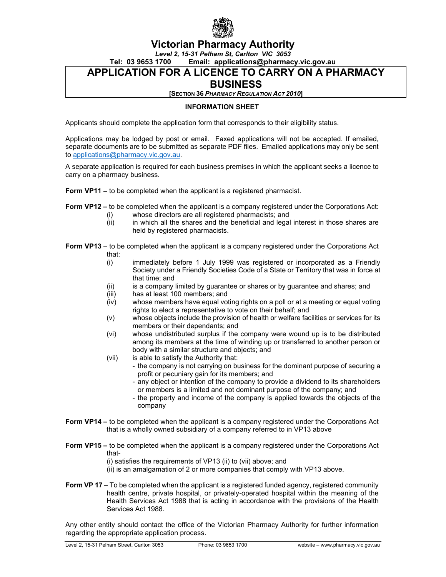

## **Victorian Pharmacy Authority**

*Level 2, 15-31 Pelham St, Carlton VIC 3053*

**Tel: 03 9653 1700 Email: applications@pharmacy.vic.gov.au**

## **APPLICATION FOR A LICENCE TO CARRY ON A PHARMACY**

## **BUSINESS**

**[SECTION 36** *PHARMACY REGULATION ACT 2010***]**

#### **INFORMATION SHEET**

Applicants should complete the application form that corresponds to their eligibility status.

Applications may be lodged by post or email. Faxed applications will not be accepted. If emailed, separate documents are to be submitted as separate PDF files. Emailed applications may only be sent to [applications@pharmacy.vic.gov.au.](mailto:applications@pharmacy.vic.gov.au)

A separate application is required for each business premises in which the applicant seeks a licence to carry on a pharmacy business.

**Form VP11 –** to be completed when the applicant is a registered pharmacist.

**Form VP12 –** to be completed when the applicant is a company registered under the Corporations Act:

- (i) whose directors are all registered pharmacists; and (ii) in which all the shares and the beneficial and legal
- in which all the shares and the beneficial and legal interest in those shares are held by registered pharmacists.

**Form VP13** – to be completed when the applicant is a company registered under the Corporations Act that:

- (i) immediately before 1 July 1999 was registered or incorporated as a Friendly Society under a Friendly Societies Code of a State or Territory that was in force at that time; and
- (ii) is a company limited by guarantee or shares or by guarantee and shares; and
- (iii) has at least 100 members; and
- (iv) whose members have equal voting rights on a poll or at a meeting or equal voting rights to elect a representative to vote on their behalf; and
- (v) whose objects include the provision of health or welfare facilities or services for its members or their dependants; and
- (vi) whose undistributed surplus if the company were wound up is to be distributed among its members at the time of winding up or transferred to another person or body with a similar structure and objects; and
- (vii) is able to satisfy the Authority that:
	- the company is not carrying on business for the dominant purpose of securing a profit or pecuniary gain for its members; and
		- any object or intention of the company to provide a dividend to its shareholders or members is a limited and not dominant purpose of the company; and
		- the property and income of the company is applied towards the objects of the company
- **Form VP14 –** to be completed when the applicant is a company registered under the Corporations Act that is a wholly owned subsidiary of a company referred to in VP13 above
- **Form VP15 –** to be completed when the applicant is a company registered under the Corporations Act that-

(i) satisfies the requirements of VP13 (ii) to (vii) above; and

(ii) is an amalgamation of 2 or more companies that comply with VP13 above.

**Form VP 17** – To be completed when the applicant is a registered funded agency, registered community health centre, private hospital, or privately-operated hospital within the meaning of the Health Services Act 1988 that is acting in accordance with the provisions of the Health Services Act 1988.

Any other entity should contact the office of the Victorian Pharmacy Authority for further information regarding the appropriate application process.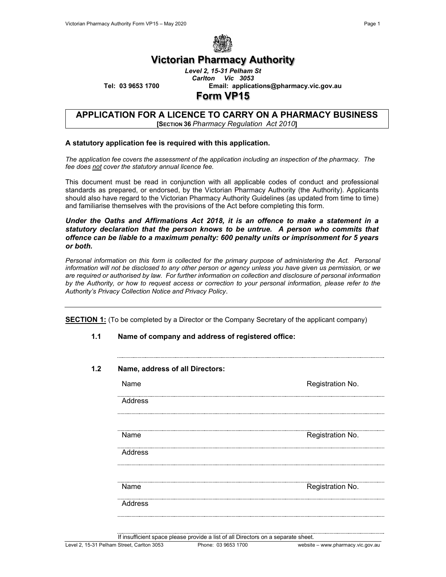

## **Victorian Pharmacy Authority**

*Level 2, 15-31 Pelham St Carlton Vic 3053*

**Tel: 03 9653 1700 Email: applications@pharmacy.vic.gov.au**

## **Form VP15**

#### **APPLICATION FOR A LICENCE TO CARRY ON A PHARMACY BUSINESS [SECTION 36** *Pharmacy Regulation Act 2010***]**

#### **A statutory application fee is required with this application.**

*The application fee covers the assessment of the application including an inspection of the pharmacy. The fee does not cover the statutory annual licence fee.*

This document must be read in conjunction with all applicable codes of conduct and professional standards as prepared, or endorsed, by the Victorian Pharmacy Authority (the Authority). Applicants should also have regard to the Victorian Pharmacy Authority Guidelines (as updated from time to time) and familiarise themselves with the provisions of the Act before completing this form.

*Under the Oaths and Affirmations Act 2018, it is an offence to make a statement in a statutory declaration that the person knows to be untrue. A person who commits that offence can be liable to a maximum penalty: 600 penalty units or imprisonment for 5 years or both.*

Personal information on this form is collected for the primary purpose of administering the Act. Personal *information will not be disclosed to any other person or agency unless you have given us permission, or we are required or authorised by law. For further information on collection and disclosure of personal information by the Authority, or how to request access or correction to your personal information, please refer to the Authority's Privacy Collection Notice and Privacy Policy*.

**SECTION 1:** (To be completed by a Director or the Company Secretary of the applicant company)

**1.1 Name of company and address of registered office:**

| Name     | Registration No. |
|----------|------------------|
| Address  |                  |
| Name     | Registration No. |
| Address  |                  |
| <br>Name | Registration No. |
| Address  |                  |

If insufficient space please provide a list of all Directors on a separate sheet.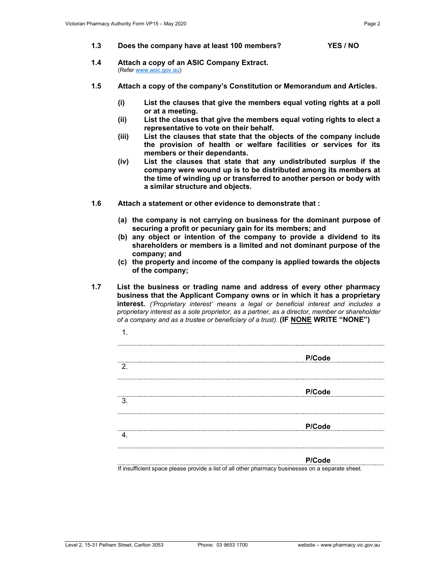- **1.3 Does the company have at least 100 members? YES / NO**
- **1.4 Attach a copy of an ASIC Company Extract.** (Refe[r www.asic.gov.au\)](http://www.asic.gov.au/)
- **1.5 Attach a copy of the company's Constitution or Memorandum and Articles.**
	- **(i) List the clauses that give the members equal voting rights at a poll or at a meeting.**
	- **(ii) List the clauses that give the members equal voting rights to elect a representative to vote on their behalf.**
	- **(iii) List the clauses that state that the objects of the company include the provision of health or welfare facilities or services for its members or their dependants.**
	- **(iv) List the clauses that state that any undistributed surplus if the company were wound up is to be distributed among its members at the time of winding up or transferred to another person or body with a similar structure and objects.**
- **1.6 Attach a statement or other evidence to demonstrate that :** 
	- **(a) the company is not carrying on business for the dominant purpose of securing a profit or pecuniary gain for its members; and**
	- **(b) any object or intention of the company to provide a dividend to its shareholders or members is a limited and not dominant purpose of the company; and**
	- **(c) the property and income of the company is applied towards the objects of the company;**
- **1.7 List the business or trading name and address of every other pharmacy business that the Applicant Company owns or in which it has a proprietary interest.** *('Proprietary interest' means a legal or beneficial interest and includes a proprietary interest as a sole proprietor, as a partner, as a director, member or shareholder of a company and as a trustee or beneficiary of a trust).* **(IF NONE WRITE "NONE")**

|    | P/Code |
|----|--------|
| 2. |        |
|    |        |
| 3. | P/Code |
|    |        |
|    | P/Code |
| 4  |        |
|    |        |
|    | P/Code |

If insufficient space please provide a list of all other pharmacy businesses on a separate sheet.

1.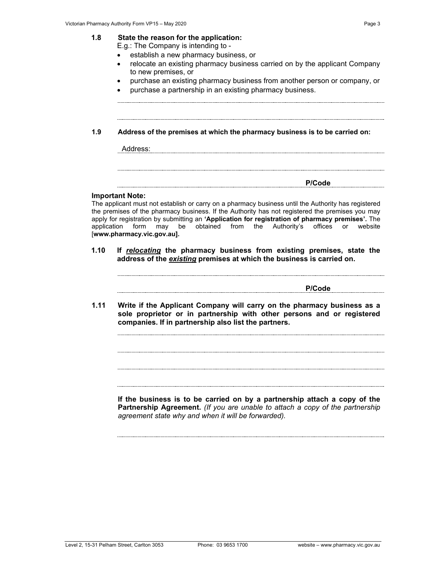E.g.: The Company is intending to -

- establish a new pharmacy business, or
- relocate an existing pharmacy business carried on by the applicant Company to new premises, or
- purchase an existing pharmacy business from another person or company, or
- purchase a partnership in an existing pharmacy business.

**1.9 Address of the premises at which the pharmacy business is to be carried on:**

Address: **P/Code**

#### **Important Note:**

The applicant must not establish or carry on a pharmacy business until the Authority has registered the premises of the pharmacy business. If the Authority has not registered the premises you may apply for registration by submitting an **'Application for registration of pharmacy premises'.** The application form may be obtained from the Authority's offices or website [**www.pharmacy.vic.gov.au].**

**1.10 If** *relocating* **the pharmacy business from existing premises, state the address of the** *existing* **premises at which the business is carried on.**

**P/Code**

**1.11 Write if the Applicant Company will carry on the pharmacy business as a sole proprietor or in partnership with other persons and or registered companies. If in partnership also list the partners.**

**If the business is to be carried on by a partnership attach a copy of the Partnership Agreement.** *(If you are unable to attach a copy of the partnership agreement state why and when it will be forwarded).*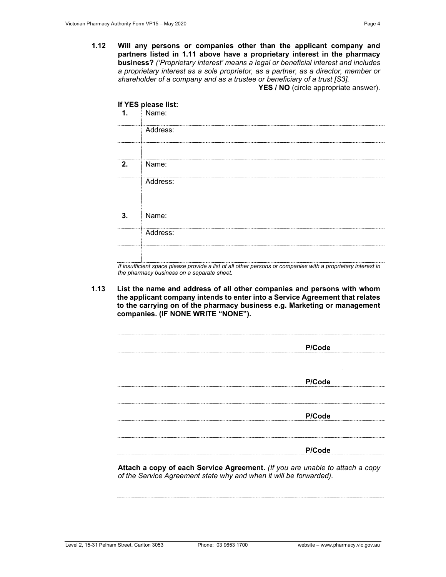**1.12 Will any persons or companies other than the applicant company and partners listed in 1.11 above have a proprietary interest in the pharmacy business?** *('Proprietary interest' means a legal or beneficial interest and includes a proprietary interest as a sole proprietor, as a partner, as a director, member or shareholder of a company and as a trustee or beneficiary of a trust [S3].*  YES / NO (circle appropriate answer).

|                | If YES please list: |  |
|----------------|---------------------|--|
| $\mathbf{1}$ . | Name:               |  |
|                | Address:            |  |
|                |                     |  |
| 2.             | Name:               |  |
|                | Address:            |  |
|                |                     |  |
| 3.             | Name:               |  |
|                | Address:            |  |
|                |                     |  |
|                |                     |  |

*If insufficient space please provide a list of all other persons or companies with a proprietary interest in the pharmacy business on a separate sheet.*

**1.13 List the name and address of all other companies and persons with whom the applicant company intends to enter into a Service Agreement that relates to the carrying on of the pharmacy business e.g. Marketing or management companies. (IF NONE WRITE "NONE").**

| P/Code |
|--------|
|        |
|        |
| P/Code |
|        |
|        |
|        |
| P/Code |
|        |
|        |
|        |
| P/Code |
|        |

**Attach a copy of each Service Agreement.** *(If you are unable to attach a copy of the Service Agreement state why and when it will be forwarded).*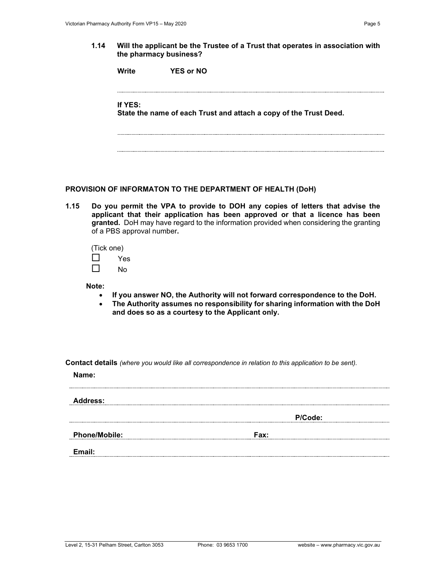**1.14 Will the applicant be the Trustee of a Trust that operates in association with the pharmacy business?**

**Write YES or NO**

# **If YES: State the name of each Trust and attach a copy of the Trust Deed.**

## **PROVISION OF INFORMATON TO THE DEPARTMENT OF HEALTH (DoH)**

**1.15 Do you permit the VPA to provide to DOH any copies of letters that advise the applicant that their application has been approved or that a licence has been granted.** DoH may have regard to the information provided when considering the granting of a PBS approval number**.**

(Tick one)  $\Box$  Yes  $\Box$  No

**Note:** 

- **If you answer NO, the Authority will not forward correspondence to the DoH.**
- **The Authority assumes no responsibility for sharing information with the DoH and does so as a courtesy to the Applicant only.**

**Contact details** *(where you would like all correspondence in relation to this application to be sent).*

**Name:**

**Address: P/Code: Phone/Mobile: Fax: Email:**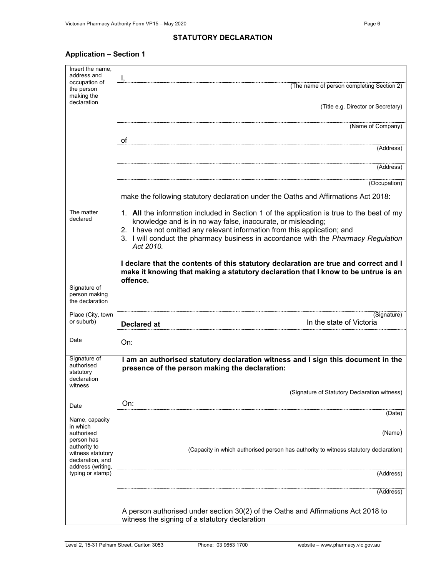#### **STATUTORY DECLARATION**

## **Application – Section 1**

| Insert the name,                                                                               |                                                                                                                                                           |  |  |  |
|------------------------------------------------------------------------------------------------|-----------------------------------------------------------------------------------------------------------------------------------------------------------|--|--|--|
| address and                                                                                    | Ι,                                                                                                                                                        |  |  |  |
| occupation of<br>the person<br>making the                                                      | (The name of person completing Section 2)                                                                                                                 |  |  |  |
| declaration                                                                                    | (Title e.g. Director or Secretary)                                                                                                                        |  |  |  |
|                                                                                                | (Name of Company)                                                                                                                                         |  |  |  |
|                                                                                                | of                                                                                                                                                        |  |  |  |
|                                                                                                | (Address)                                                                                                                                                 |  |  |  |
|                                                                                                | (Address)                                                                                                                                                 |  |  |  |
|                                                                                                | (Occupation)                                                                                                                                              |  |  |  |
|                                                                                                | make the following statutory declaration under the Oaths and Affirmations Act 2018:                                                                       |  |  |  |
| The matter<br>declared                                                                         | 1. All the information included in Section 1 of the application is true to the best of my<br>knowledge and is in no way false, inaccurate, or misleading; |  |  |  |
|                                                                                                | 2. I have not omitted any relevant information from this application; and                                                                                 |  |  |  |
|                                                                                                | 3. I will conduct the pharmacy business in accordance with the Pharmacy Regulation<br>Act 2010.                                                           |  |  |  |
|                                                                                                | I declare that the contents of this statutory declaration are true and correct and I                                                                      |  |  |  |
| make it knowing that making a statutory declaration that I know to be untrue is an<br>offence. |                                                                                                                                                           |  |  |  |
| Signature of<br>person making<br>the declaration                                               |                                                                                                                                                           |  |  |  |
| Place (City, town                                                                              | (Signature)                                                                                                                                               |  |  |  |
| or suburb)                                                                                     | In the state of Victoria<br><b>Declared at</b>                                                                                                            |  |  |  |
| Date                                                                                           | On:                                                                                                                                                       |  |  |  |
| Signature of                                                                                   | I am an authorised statutory declaration witness and I sign this document in the                                                                          |  |  |  |
| authorised<br>statutory<br>declaration<br>witness                                              | presence of the person making the declaration:                                                                                                            |  |  |  |
|                                                                                                | (Signature of Statutory Declaration witness)                                                                                                              |  |  |  |
| Date                                                                                           | On:                                                                                                                                                       |  |  |  |
| Name, capacity<br>in which                                                                     | (Date)                                                                                                                                                    |  |  |  |
| authorised<br>person has                                                                       | (Name)                                                                                                                                                    |  |  |  |
| authority to<br>witness statutory<br>declaration, and<br>address (writing,                     | (Capacity in which authorised person has authority to witness statutory declaration)                                                                      |  |  |  |
| typing or stamp)                                                                               | (Address)                                                                                                                                                 |  |  |  |
|                                                                                                | (Address)                                                                                                                                                 |  |  |  |
|                                                                                                |                                                                                                                                                           |  |  |  |
|                                                                                                | A person authorised under section 30(2) of the Oaths and Affirmations Act 2018 to<br>witness the signing of a statutory declaration                       |  |  |  |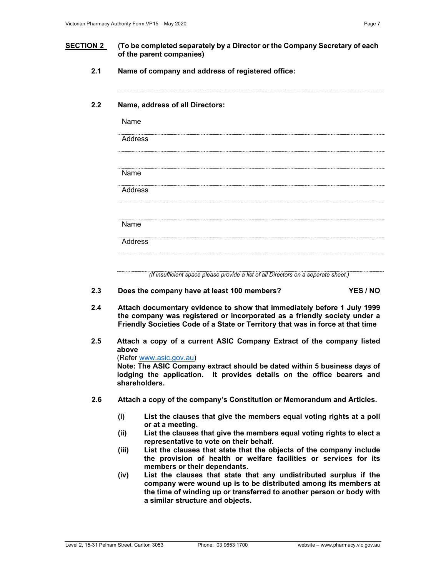#### **SECTION 2 (To be completed separately by a Director or the Company Secretary of each of the parent companies)**

**2.1 Name of company and address of registered office:**

#### **2.2 Name, address of all Directors:**

| Name<br>Address<br>Name | Address |  |  |  |
|-------------------------|---------|--|--|--|
|                         |         |  |  |  |
|                         |         |  |  |  |
|                         |         |  |  |  |
|                         |         |  |  |  |
|                         |         |  |  |  |
| Address                 |         |  |  |  |

- **2.3 Does the company have at least 100 members? YES / NO**
- **2.4 Attach documentary evidence to show that immediately before 1 July 1999 the company was registered or incorporated as a friendly society under a Friendly Societies Code of a State or Territory that was in force at that time**
- **2.5 Attach a copy of a current ASIC Company Extract of the company listed above**

(Refer [www.asic.gov.au\)](http://www.asic.gov.au/) **Note: The ASIC Company extract should be dated within 5 business days of lodging the application. It provides details on the office bearers and shareholders.**

- **2.6 Attach a copy of the company's Constitution or Memorandum and Articles.**
	- **(i) List the clauses that give the members equal voting rights at a poll or at a meeting.**
	- **(ii) List the clauses that give the members equal voting rights to elect a representative to vote on their behalf.**
	- **(iii) List the clauses that state that the objects of the company include the provision of health or welfare facilities or services for its members or their dependants.**
	- **(iv) List the clauses that state that any undistributed surplus if the company were wound up is to be distributed among its members at the time of winding up or transferred to another person or body with a similar structure and objects.**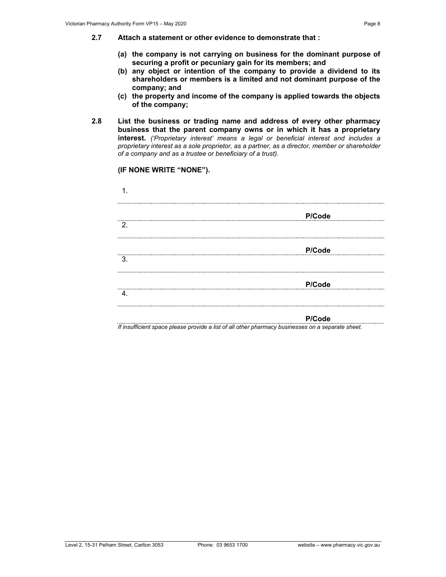- **2.7 Attach a statement or other evidence to demonstrate that :** 
	- **(a) the company is not carrying on business for the dominant purpose of securing a profit or pecuniary gain for its members; and**
	- **(b) any object or intention of the company to provide a dividend to its shareholders or members is a limited and not dominant purpose of the company; and**
	- **(c) the property and income of the company is applied towards the objects of the company;**
- **2.8 List the business or trading name and address of every other pharmacy business that the parent company owns or in which it has a proprietary interest.** *('Proprietary interest' means a legal or beneficial interest and includes a proprietary interest as a sole proprietor, as a partner, as a director, member or shareholder of a company and as a trustee or beneficiary of a trust).*

**(IF NONE WRITE "NONE").**

| ------------------------ | P/Code |
|--------------------------|--------|
| 2.                       |        |
| 3.                       | P/Code |
|                          |        |
|                          | P/Code |
|                          |        |
|                          | P/Code |

*If insufficient space please provide a list of all other pharmacy businesses on a separate sheet.*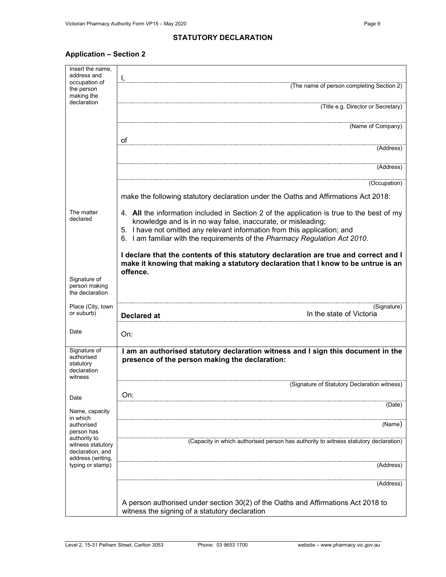#### **STATUTORY DECLARATION**

## **Application – Section 2**

| Insert the name,                                                  |                                                                                                                                                                                                                                        |  |  |  |  |  |
|-------------------------------------------------------------------|----------------------------------------------------------------------------------------------------------------------------------------------------------------------------------------------------------------------------------------|--|--|--|--|--|
| address and<br>occupation of                                      | Ι,                                                                                                                                                                                                                                     |  |  |  |  |  |
| the person<br>making the                                          | (The name of person completing Section 2)                                                                                                                                                                                              |  |  |  |  |  |
| declaration                                                       | (Title e.g. Director or Secretary)                                                                                                                                                                                                     |  |  |  |  |  |
|                                                                   | (Name of Company)                                                                                                                                                                                                                      |  |  |  |  |  |
|                                                                   | οf<br>(Address)                                                                                                                                                                                                                        |  |  |  |  |  |
|                                                                   |                                                                                                                                                                                                                                        |  |  |  |  |  |
|                                                                   | (Address)                                                                                                                                                                                                                              |  |  |  |  |  |
|                                                                   | (Occupation)                                                                                                                                                                                                                           |  |  |  |  |  |
|                                                                   | make the following statutory declaration under the Oaths and Affirmations Act 2018:                                                                                                                                                    |  |  |  |  |  |
| The matter<br>declared                                            | 4. All the information included in Section 2 of the application is true to the best of my<br>knowledge and is in no way false, inaccurate, or misleading;<br>5. I have not omitted any relevant information from this application; and |  |  |  |  |  |
|                                                                   | 6. I am familiar with the requirements of the Pharmacy Regulation Act 2010.                                                                                                                                                            |  |  |  |  |  |
|                                                                   | I declare that the contents of this statutory declaration are true and correct and I<br>make it knowing that making a statutory declaration that I know to be untrue is an<br>offence.                                                 |  |  |  |  |  |
| Signature of<br>person making<br>the declaration                  |                                                                                                                                                                                                                                        |  |  |  |  |  |
| Place (City, town<br>or suburb)                                   | (Signature)<br>In the state of Victoria<br><b>Declared at</b>                                                                                                                                                                          |  |  |  |  |  |
| Date                                                              | On:                                                                                                                                                                                                                                    |  |  |  |  |  |
| Signature of<br>authorised<br>statutory<br>declaration<br>witness | I am an authorised statutory declaration witness and I sign this document in the<br>presence of the person making the declaration:                                                                                                     |  |  |  |  |  |
|                                                                   | (Signature of Statutory Declaration witness)                                                                                                                                                                                           |  |  |  |  |  |
| Date                                                              | On:<br>(Date)                                                                                                                                                                                                                          |  |  |  |  |  |
| Name, capacity<br>in which<br>authorised                          | (Name)                                                                                                                                                                                                                                 |  |  |  |  |  |
| person has<br>authority to                                        |                                                                                                                                                                                                                                        |  |  |  |  |  |
| witness statutory<br>declaration, and<br>address (writing,        | (Capacity in which authorised person has authority to witness statutory declaration)                                                                                                                                                   |  |  |  |  |  |
| typing or stamp)                                                  | (Address)                                                                                                                                                                                                                              |  |  |  |  |  |
|                                                                   | (Address)                                                                                                                                                                                                                              |  |  |  |  |  |
|                                                                   |                                                                                                                                                                                                                                        |  |  |  |  |  |
|                                                                   | A person authorised under section 30(2) of the Oaths and Affirmations Act 2018 to<br>witness the signing of a statutory declaration                                                                                                    |  |  |  |  |  |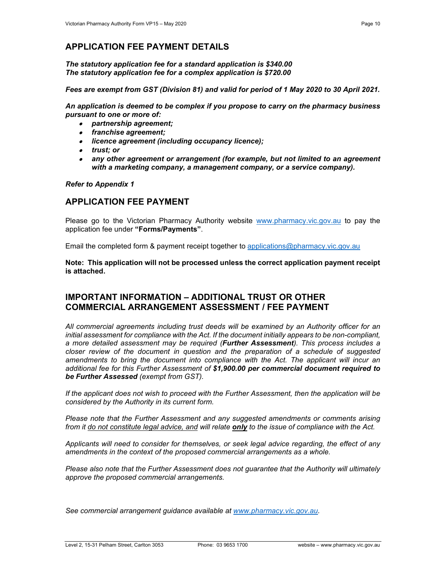## **APPLICATION FEE PAYMENT DETAILS**

*The statutory application fee for a standard application is \$340.00 The statutory application fee for a complex application is \$720.00*

*Fees are exempt from GST (Division 81) and valid for period of 1 May 2020 to 30 April 2021.*

*An application is deemed to be complex if you propose to carry on the pharmacy business pursuant to one or more of:* 

- *partnership agreement;*
- *franchise agreement;*
- *licence agreement (including occupancy licence);*
- *trust; or*
- • *any other agreement or arrangement (for example, but not limited to an agreement with a marketing company, a management company, or a service company).*

*Refer to Appendix 1*

## **APPLICATION FEE PAYMENT**

Please go to the Victorian Pharmacy Authority website [www.pharmacy.vic.gov.au](http://www.pharmacy.vic.gov.au/) to pay the application fee under **"Forms/Payments"**.

Email the completed form & payment receipt together to [applications@pharmacy.vic.gov.au](mailto:applications@pharmacy.vic.gov.au)

**Note: This application will not be processed unless the correct application payment receipt is attached.**

## **IMPORTANT INFORMATION – ADDITIONAL TRUST OR OTHER COMMERCIAL ARRANGEMENT ASSESSMENT / FEE PAYMENT**

*All commercial agreements including trust deeds will be examined by an Authority officer for an initial assessment for compliance with the Act. If the document initially appears to be non-compliant, a more detailed assessment may be required (Further Assessment). This process includes a closer review of the document in question and the preparation of a schedule of suggested*  amendments to bring the document into compliance with the Act. The applicant will incur an *additional fee for this Further Assessment of \$1,900.00 per commercial document required to be Further Assessed (exempt from GST).* 

*If the applicant does not wish to proceed with the Further Assessment, then the application will be considered by the Authority in its current form.*

*Please note that the Further Assessment and any suggested amendments or comments arising from it do not constitute legal advice, and will relate only to the issue of compliance with the Act.*

*Applicants will need to consider for themselves, or seek legal advice regarding, the effect of any amendments in the context of the proposed commercial arrangements as a whole.*

*Please also note that the Further Assessment does not guarantee that the Authority will ultimately approve the proposed commercial arrangements.* 

*See commercial arrangement guidance available at [www.pharmacy.vic.gov.au.](http://www.pharmacy.vic.gov.au/)*